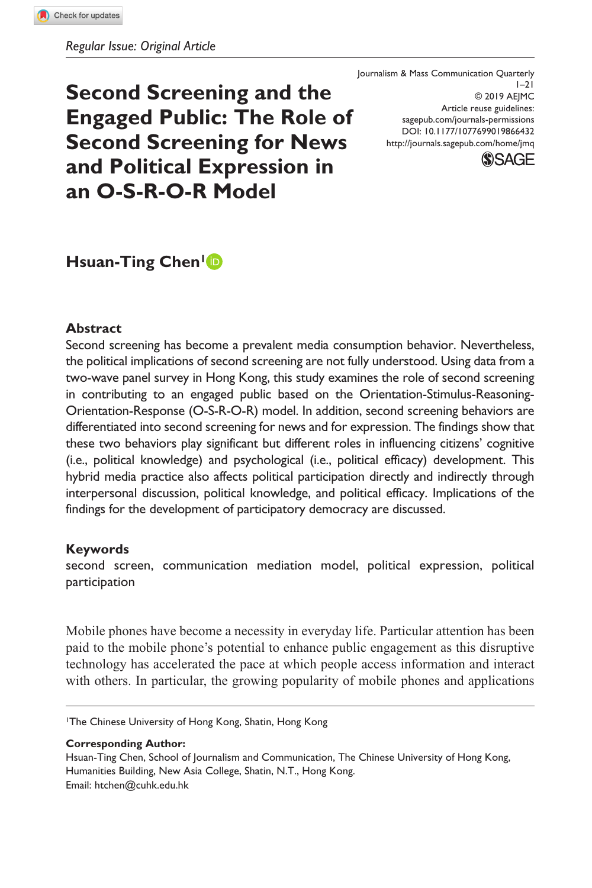# **Second Screening and the Engaged Public: The Role of Second Screening for News and Political Expression in an O-S-R-O-R Model**

DOI: 10.1177/1077699019866432 Journalism & Mass Communication Quarterly  $1-21$ © 2019 AEJMC Article reuse guidelines: [sagepub.com/journals-permissions](https://us.sagepub.com/en-us/journals-permissions) <http://journals.sagepub.com/home/jmq>



# **Hsuan-Ting Chen<sup>1</sup><sup>D</sup>**

#### **Abstract**

Second screening has become a prevalent media consumption behavior. Nevertheless, the political implications of second screening are not fully understood. Using data from a two-wave panel survey in Hong Kong, this study examines the role of second screening in contributing to an engaged public based on the Orientation-Stimulus-Reasoning-Orientation-Response (O-S-R-O-R) model. In addition, second screening behaviors are differentiated into second screening for news and for expression. The findings show that these two behaviors play significant but different roles in influencing citizens' cognitive (i.e., political knowledge) and psychological (i.e., political efficacy) development. This hybrid media practice also affects political participation directly and indirectly through interpersonal discussion, political knowledge, and political efficacy. Implications of the findings for the development of participatory democracy are discussed.

#### **Keywords**

second screen, communication mediation model, political expression, political participation

Mobile phones have become a necessity in everyday life. Particular attention has been paid to the mobile phone's potential to enhance public engagement as this disruptive technology has accelerated the pace at which people access information and interact with others. In particular, the growing popularity of mobile phones and applications

1The Chinese University of Hong Kong, Shatin, Hong Kong

**Corresponding Author:**

Hsuan-Ting Chen, School of Journalism and Communication, The Chinese University of Hong Kong, Humanities Building, New Asia College, Shatin, N.T., Hong Kong. Email: [htchen@cuhk.edu.hk](mailto:htchen@cuhk.edu.hk)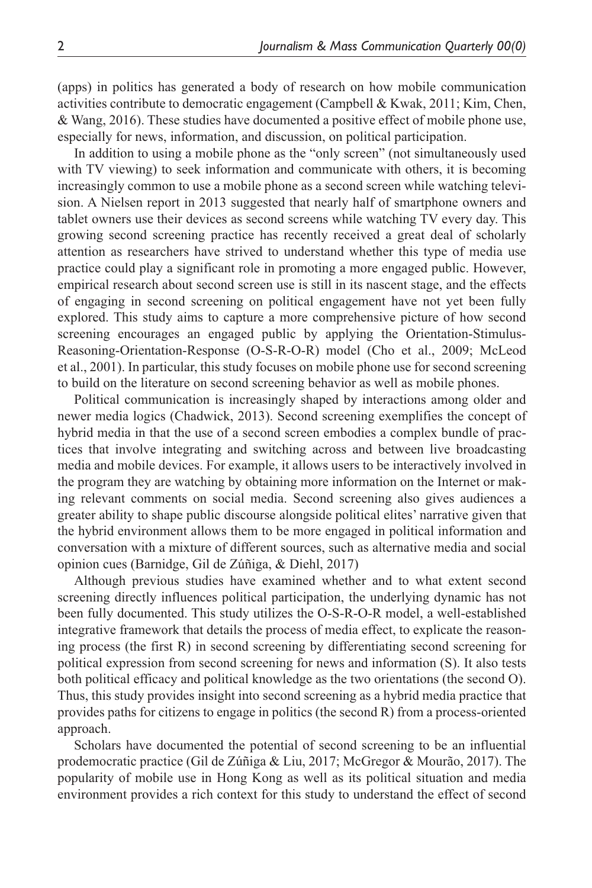(apps) in politics has generated a body of research on how mobile communication activities contribute to democratic engagement (Campbell & Kwak, 2011; Kim, Chen, & Wang, 2016). These studies have documented a positive effect of mobile phone use, especially for news, information, and discussion, on political participation.

In addition to using a mobile phone as the "only screen" (not simultaneously used with TV viewing) to seek information and communicate with others, it is becoming increasingly common to use a mobile phone as a second screen while watching television. A Nielsen report in 2013 suggested that nearly half of smartphone owners and tablet owners use their devices as second screens while watching TV every day. This growing second screening practice has recently received a great deal of scholarly attention as researchers have strived to understand whether this type of media use practice could play a significant role in promoting a more engaged public. However, empirical research about second screen use is still in its nascent stage, and the effects of engaging in second screening on political engagement have not yet been fully explored. This study aims to capture a more comprehensive picture of how second screening encourages an engaged public by applying the Orientation-Stimulus-Reasoning-Orientation-Response (O-S-R-O-R) model (Cho et al., 2009; McLeod et al., 2001). In particular, this study focuses on mobile phone use for second screening to build on the literature on second screening behavior as well as mobile phones.

Political communication is increasingly shaped by interactions among older and newer media logics (Chadwick, 2013). Second screening exemplifies the concept of hybrid media in that the use of a second screen embodies a complex bundle of practices that involve integrating and switching across and between live broadcasting media and mobile devices. For example, it allows users to be interactively involved in the program they are watching by obtaining more information on the Internet or making relevant comments on social media. Second screening also gives audiences a greater ability to shape public discourse alongside political elites' narrative given that the hybrid environment allows them to be more engaged in political information and conversation with a mixture of different sources, such as alternative media and social opinion cues (Barnidge, Gil de Zúñiga, & Diehl, 2017)

Although previous studies have examined whether and to what extent second screening directly influences political participation, the underlying dynamic has not been fully documented. This study utilizes the O-S-R-O-R model, a well-established integrative framework that details the process of media effect, to explicate the reasoning process (the first R) in second screening by differentiating second screening for political expression from second screening for news and information (S). It also tests both political efficacy and political knowledge as the two orientations (the second O). Thus, this study provides insight into second screening as a hybrid media practice that provides paths for citizens to engage in politics (the second R) from a process-oriented approach.

Scholars have documented the potential of second screening to be an influential prodemocratic practice (Gil de Zúñiga & Liu, 2017; McGregor & Mourão, 2017). The popularity of mobile use in Hong Kong as well as its political situation and media environment provides a rich context for this study to understand the effect of second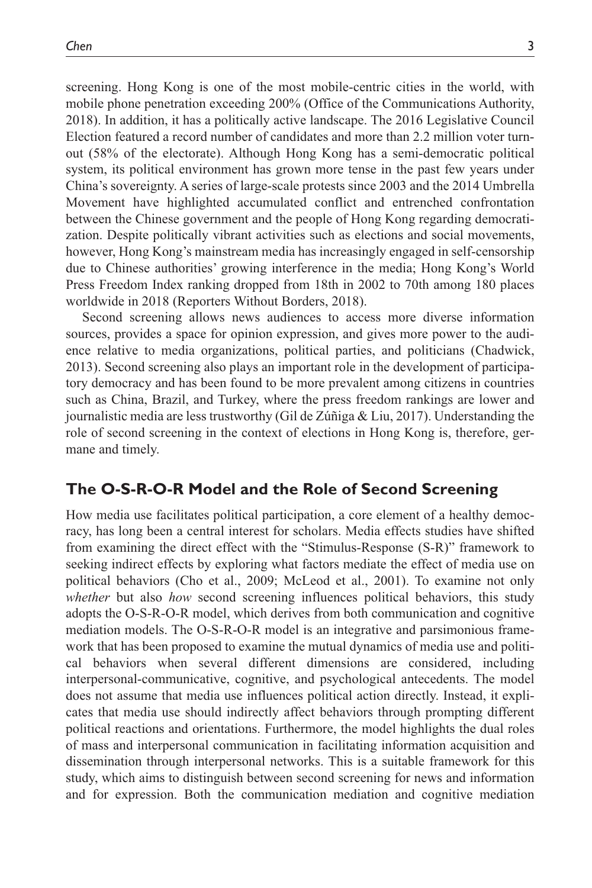screening. Hong Kong is one of the most mobile-centric cities in the world, with mobile phone penetration exceeding 200% (Office of the Communications Authority, 2018). In addition, it has a politically active landscape. The 2016 Legislative Council Election featured a record number of candidates and more than 2.2 million voter turnout (58% of the electorate). Although Hong Kong has a semi-democratic political system, its political environment has grown more tense in the past few years under China's sovereignty. A series of large-scale protests since 2003 and the 2014 Umbrella Movement have highlighted accumulated conflict and entrenched confrontation between the Chinese government and the people of Hong Kong regarding democratization. Despite politically vibrant activities such as elections and social movements, however, Hong Kong's mainstream media has increasingly engaged in self-censorship due to Chinese authorities' growing interference in the media; Hong Kong's World Press Freedom Index ranking dropped from 18th in 2002 to 70th among 180 places worldwide in 2018 (Reporters Without Borders, 2018).

Second screening allows news audiences to access more diverse information sources, provides a space for opinion expression, and gives more power to the audience relative to media organizations, political parties, and politicians (Chadwick, 2013). Second screening also plays an important role in the development of participatory democracy and has been found to be more prevalent among citizens in countries such as China, Brazil, and Turkey, where the press freedom rankings are lower and journalistic media are less trustworthy (Gil de Zúñiga & Liu, 2017). Understanding the role of second screening in the context of elections in Hong Kong is, therefore, germane and timely.

### **The O-S-R-O-R Model and the Role of Second Screening**

How media use facilitates political participation, a core element of a healthy democracy, has long been a central interest for scholars. Media effects studies have shifted from examining the direct effect with the "Stimulus-Response (S-R)" framework to seeking indirect effects by exploring what factors mediate the effect of media use on political behaviors (Cho et al., 2009; McLeod et al., 2001). To examine not only *whether* but also *how* second screening influences political behaviors, this study adopts the O-S-R-O-R model, which derives from both communication and cognitive mediation models. The O-S-R-O-R model is an integrative and parsimonious framework that has been proposed to examine the mutual dynamics of media use and political behaviors when several different dimensions are considered, including interpersonal-communicative, cognitive, and psychological antecedents. The model does not assume that media use influences political action directly. Instead, it explicates that media use should indirectly affect behaviors through prompting different political reactions and orientations. Furthermore, the model highlights the dual roles of mass and interpersonal communication in facilitating information acquisition and dissemination through interpersonal networks. This is a suitable framework for this study, which aims to distinguish between second screening for news and information and for expression. Both the communication mediation and cognitive mediation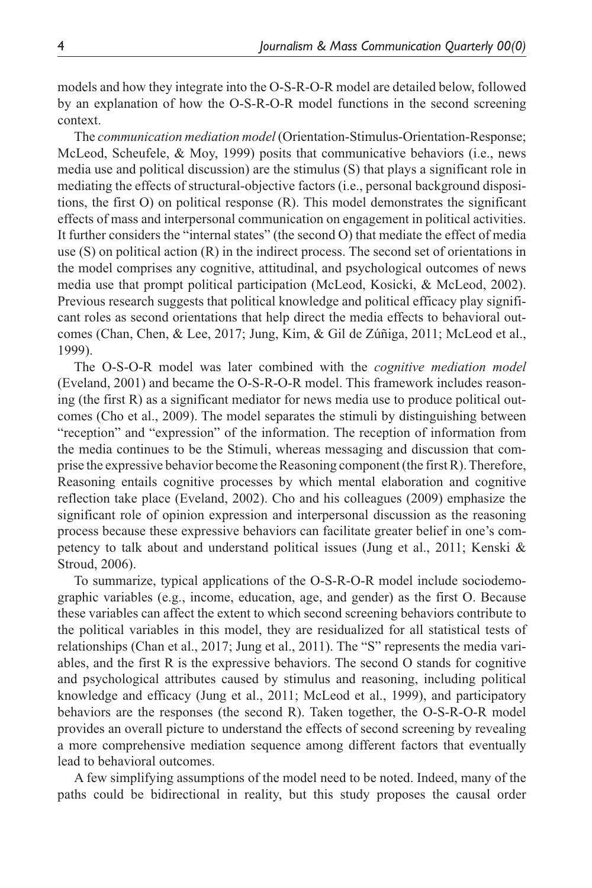models and how they integrate into the O-S-R-O-R model are detailed below, followed by an explanation of how the O-S-R-O-R model functions in the second screening context.

The *communication mediation model* (Orientation-Stimulus-Orientation-Response; McLeod, Scheufele, & Moy, 1999) posits that communicative behaviors (i.e., news media use and political discussion) are the stimulus (S) that plays a significant role in mediating the effects of structural-objective factors (i.e., personal background dispositions, the first O) on political response (R). This model demonstrates the significant effects of mass and interpersonal communication on engagement in political activities. It further considers the "internal states" (the second O) that mediate the effect of media use (S) on political action (R) in the indirect process. The second set of orientations in the model comprises any cognitive, attitudinal, and psychological outcomes of news media use that prompt political participation (McLeod, Kosicki, & McLeod, 2002). Previous research suggests that political knowledge and political efficacy play significant roles as second orientations that help direct the media effects to behavioral outcomes (Chan, Chen, & Lee, 2017; Jung, Kim, & Gil de Zúñiga, 2011; McLeod et al., 1999).

The O-S-O-R model was later combined with the *cognitive mediation model* (Eveland, 2001) and became the O-S-R-O-R model. This framework includes reasoning (the first R) as a significant mediator for news media use to produce political outcomes (Cho et al., 2009). The model separates the stimuli by distinguishing between "reception" and "expression" of the information. The reception of information from the media continues to be the Stimuli, whereas messaging and discussion that comprise the expressive behavior become the Reasoning component (the first R). Therefore, Reasoning entails cognitive processes by which mental elaboration and cognitive reflection take place (Eveland, 2002). Cho and his colleagues (2009) emphasize the significant role of opinion expression and interpersonal discussion as the reasoning process because these expressive behaviors can facilitate greater belief in one's competency to talk about and understand political issues (Jung et al., 2011; Kenski & Stroud, 2006).

To summarize, typical applications of the O-S-R-O-R model include sociodemographic variables (e.g., income, education, age, and gender) as the first O. Because these variables can affect the extent to which second screening behaviors contribute to the political variables in this model, they are residualized for all statistical tests of relationships (Chan et al., 2017; Jung et al., 2011). The "S" represents the media variables, and the first R is the expressive behaviors. The second O stands for cognitive and psychological attributes caused by stimulus and reasoning, including political knowledge and efficacy (Jung et al., 2011; McLeod et al., 1999), and participatory behaviors are the responses (the second R). Taken together, the O-S-R-O-R model provides an overall picture to understand the effects of second screening by revealing a more comprehensive mediation sequence among different factors that eventually lead to behavioral outcomes.

A few simplifying assumptions of the model need to be noted. Indeed, many of the paths could be bidirectional in reality, but this study proposes the causal order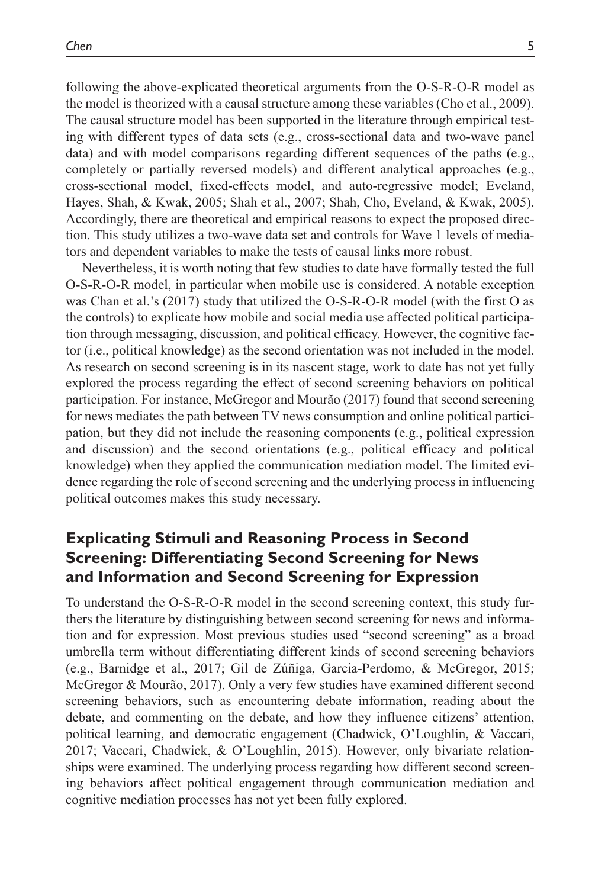following the above-explicated theoretical arguments from the O-S-R-O-R model as the model is theorized with a causal structure among these variables (Cho et al., 2009). The causal structure model has been supported in the literature through empirical testing with different types of data sets (e.g., cross-sectional data and two-wave panel data) and with model comparisons regarding different sequences of the paths (e.g., completely or partially reversed models) and different analytical approaches (e.g., cross-sectional model, fixed-effects model, and auto-regressive model; Eveland, Hayes, Shah, & Kwak, 2005; Shah et al., 2007; Shah, Cho, Eveland, & Kwak, 2005). Accordingly, there are theoretical and empirical reasons to expect the proposed direction. This study utilizes a two-wave data set and controls for Wave 1 levels of mediators and dependent variables to make the tests of causal links more robust.

Nevertheless, it is worth noting that few studies to date have formally tested the full O-S-R-O-R model, in particular when mobile use is considered. A notable exception was Chan et al.'s (2017) study that utilized the O-S-R-O-R model (with the first O as the controls) to explicate how mobile and social media use affected political participation through messaging, discussion, and political efficacy. However, the cognitive factor (i.e., political knowledge) as the second orientation was not included in the model. As research on second screening is in its nascent stage, work to date has not yet fully explored the process regarding the effect of second screening behaviors on political participation. For instance, McGregor and Mourão (2017) found that second screening for news mediates the path between TV news consumption and online political participation, but they did not include the reasoning components (e.g., political expression and discussion) and the second orientations (e.g., political efficacy and political knowledge) when they applied the communication mediation model. The limited evidence regarding the role of second screening and the underlying process in influencing political outcomes makes this study necessary.

# **Explicating Stimuli and Reasoning Process in Second Screening: Differentiating Second Screening for News and Information and Second Screening for Expression**

To understand the O-S-R-O-R model in the second screening context, this study furthers the literature by distinguishing between second screening for news and information and for expression. Most previous studies used "second screening" as a broad umbrella term without differentiating different kinds of second screening behaviors (e.g., Barnidge et al., 2017; Gil de Zúñiga, Garcia-Perdomo, & McGregor, 2015; McGregor & Mourão, 2017). Only a very few studies have examined different second screening behaviors, such as encountering debate information, reading about the debate, and commenting on the debate, and how they influence citizens' attention, political learning, and democratic engagement (Chadwick, O'Loughlin, & Vaccari, 2017; Vaccari, Chadwick, & O'Loughlin, 2015). However, only bivariate relationships were examined. The underlying process regarding how different second screening behaviors affect political engagement through communication mediation and cognitive mediation processes has not yet been fully explored.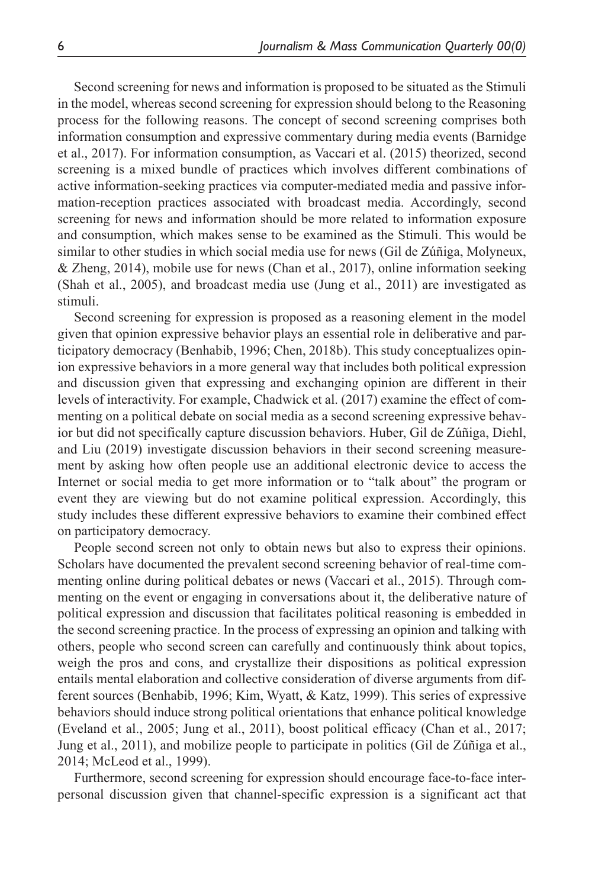Second screening for news and information is proposed to be situated as the Stimuli in the model, whereas second screening for expression should belong to the Reasoning process for the following reasons. The concept of second screening comprises both information consumption and expressive commentary during media events (Barnidge et al., 2017). For information consumption, as Vaccari et al. (2015) theorized, second screening is a mixed bundle of practices which involves different combinations of active information-seeking practices via computer-mediated media and passive information-reception practices associated with broadcast media. Accordingly, second screening for news and information should be more related to information exposure and consumption, which makes sense to be examined as the Stimuli. This would be similar to other studies in which social media use for news (Gil de Zúñiga, Molyneux, & Zheng, 2014), mobile use for news (Chan et al., 2017), online information seeking (Shah et al., 2005), and broadcast media use (Jung et al., 2011) are investigated as stimuli.

Second screening for expression is proposed as a reasoning element in the model given that opinion expressive behavior plays an essential role in deliberative and participatory democracy (Benhabib, 1996; Chen, 2018b). This study conceptualizes opinion expressive behaviors in a more general way that includes both political expression and discussion given that expressing and exchanging opinion are different in their levels of interactivity. For example, Chadwick et al. (2017) examine the effect of commenting on a political debate on social media as a second screening expressive behavior but did not specifically capture discussion behaviors. Huber, Gil de Zúñiga, Diehl, and Liu (2019) investigate discussion behaviors in their second screening measurement by asking how often people use an additional electronic device to access the Internet or social media to get more information or to "talk about" the program or event they are viewing but do not examine political expression. Accordingly, this study includes these different expressive behaviors to examine their combined effect on participatory democracy.

People second screen not only to obtain news but also to express their opinions. Scholars have documented the prevalent second screening behavior of real-time commenting online during political debates or news (Vaccari et al., 2015). Through commenting on the event or engaging in conversations about it, the deliberative nature of political expression and discussion that facilitates political reasoning is embedded in the second screening practice. In the process of expressing an opinion and talking with others, people who second screen can carefully and continuously think about topics, weigh the pros and cons, and crystallize their dispositions as political expression entails mental elaboration and collective consideration of diverse arguments from different sources (Benhabib, 1996; Kim, Wyatt, & Katz, 1999). This series of expressive behaviors should induce strong political orientations that enhance political knowledge (Eveland et al., 2005; Jung et al., 2011), boost political efficacy (Chan et al., 2017; Jung et al., 2011), and mobilize people to participate in politics (Gil de Zúñiga et al., 2014; McLeod et al., 1999).

Furthermore, second screening for expression should encourage face-to-face interpersonal discussion given that channel-specific expression is a significant act that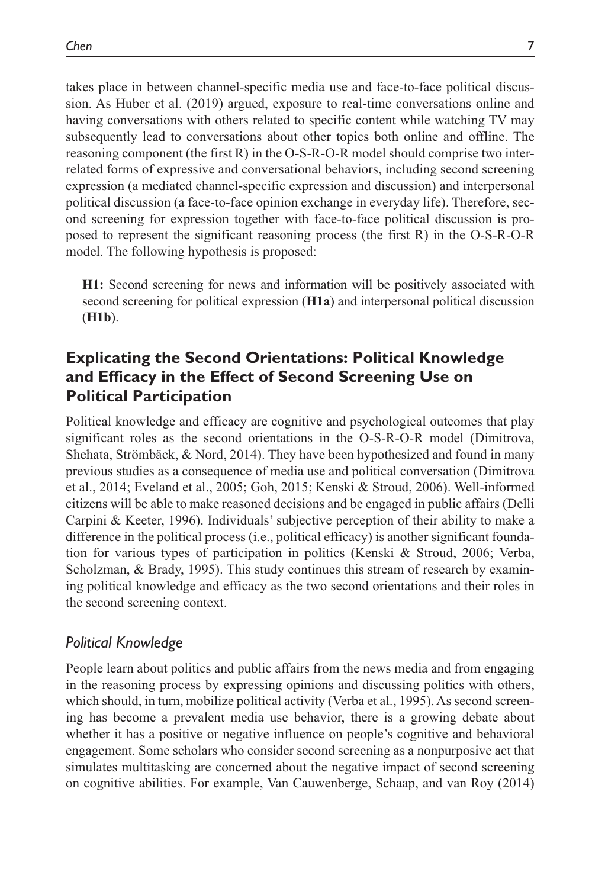takes place in between channel-specific media use and face-to-face political discussion. As Huber et al. (2019) argued, exposure to real-time conversations online and having conversations with others related to specific content while watching TV may subsequently lead to conversations about other topics both online and offline. The reasoning component (the first R) in the O-S-R-O-R model should comprise two interrelated forms of expressive and conversational behaviors, including second screening expression (a mediated channel-specific expression and discussion) and interpersonal political discussion (a face-to-face opinion exchange in everyday life). Therefore, second screening for expression together with face-to-face political discussion is proposed to represent the significant reasoning process (the first R) in the O-S-R-O-R model. The following hypothesis is proposed:

**H1:** Second screening for news and information will be positively associated with second screening for political expression (**H1a**) and interpersonal political discussion (**H1b**).

# **Explicating the Second Orientations: Political Knowledge and Efficacy in the Effect of Second Screening Use on Political Participation**

Political knowledge and efficacy are cognitive and psychological outcomes that play significant roles as the second orientations in the O-S-R-O-R model (Dimitrova, Shehata, Strömbäck, & Nord, 2014). They have been hypothesized and found in many previous studies as a consequence of media use and political conversation (Dimitrova et al., 2014; Eveland et al., 2005; Goh, 2015; Kenski & Stroud, 2006). Well-informed citizens will be able to make reasoned decisions and be engaged in public affairs (Delli Carpini & Keeter, 1996). Individuals' subjective perception of their ability to make a difference in the political process (i.e., political efficacy) is another significant foundation for various types of participation in politics (Kenski & Stroud, 2006; Verba, Scholzman, & Brady, 1995). This study continues this stream of research by examining political knowledge and efficacy as the two second orientations and their roles in the second screening context.

### *Political Knowledge*

People learn about politics and public affairs from the news media and from engaging in the reasoning process by expressing opinions and discussing politics with others, which should, in turn, mobilize political activity (Verba et al., 1995). As second screening has become a prevalent media use behavior, there is a growing debate about whether it has a positive or negative influence on people's cognitive and behavioral engagement. Some scholars who consider second screening as a nonpurposive act that simulates multitasking are concerned about the negative impact of second screening on cognitive abilities. For example, Van Cauwenberge, Schaap, and van Roy (2014)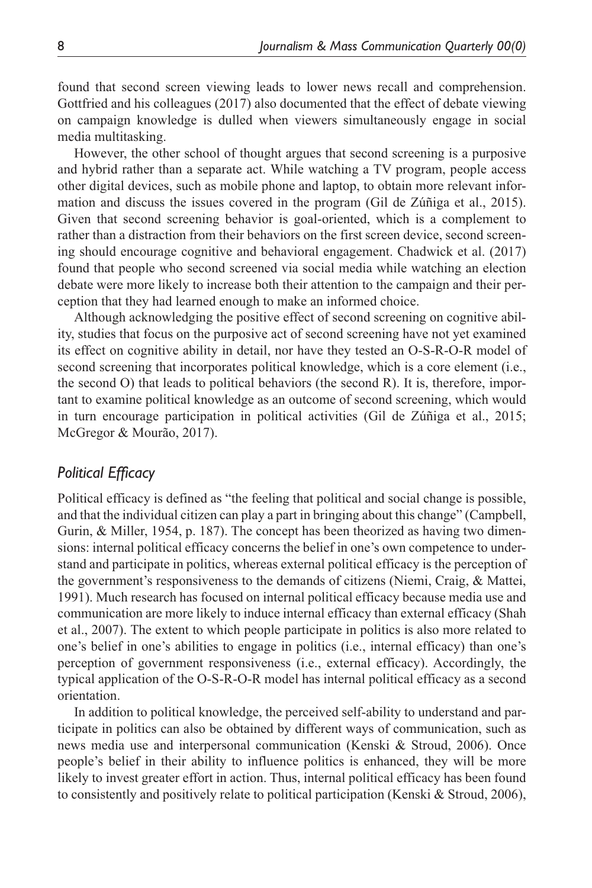found that second screen viewing leads to lower news recall and comprehension. Gottfried and his colleagues (2017) also documented that the effect of debate viewing on campaign knowledge is dulled when viewers simultaneously engage in social media multitasking.

However, the other school of thought argues that second screening is a purposive and hybrid rather than a separate act. While watching a TV program, people access other digital devices, such as mobile phone and laptop, to obtain more relevant information and discuss the issues covered in the program (Gil de Zúñiga et al., 2015). Given that second screening behavior is goal-oriented, which is a complement to rather than a distraction from their behaviors on the first screen device, second screening should encourage cognitive and behavioral engagement. Chadwick et al. (2017) found that people who second screened via social media while watching an election debate were more likely to increase both their attention to the campaign and their perception that they had learned enough to make an informed choice.

Although acknowledging the positive effect of second screening on cognitive ability, studies that focus on the purposive act of second screening have not yet examined its effect on cognitive ability in detail, nor have they tested an O-S-R-O-R model of second screening that incorporates political knowledge, which is a core element (i.e., the second O) that leads to political behaviors (the second R). It is, therefore, important to examine political knowledge as an outcome of second screening, which would in turn encourage participation in political activities (Gil de Zúñiga et al., 2015; McGregor & Mourão, 2017).

#### *Political Efficacy*

Political efficacy is defined as "the feeling that political and social change is possible, and that the individual citizen can play a part in bringing about this change" (Campbell, Gurin, & Miller, 1954, p. 187). The concept has been theorized as having two dimensions: internal political efficacy concerns the belief in one's own competence to understand and participate in politics, whereas external political efficacy is the perception of the government's responsiveness to the demands of citizens (Niemi, Craig, & Mattei, 1991). Much research has focused on internal political efficacy because media use and communication are more likely to induce internal efficacy than external efficacy (Shah et al., 2007). The extent to which people participate in politics is also more related to one's belief in one's abilities to engage in politics (i.e., internal efficacy) than one's perception of government responsiveness (i.e., external efficacy). Accordingly, the typical application of the O-S-R-O-R model has internal political efficacy as a second orientation.

In addition to political knowledge, the perceived self-ability to understand and participate in politics can also be obtained by different ways of communication, such as news media use and interpersonal communication (Kenski & Stroud, 2006). Once people's belief in their ability to influence politics is enhanced, they will be more likely to invest greater effort in action. Thus, internal political efficacy has been found to consistently and positively relate to political participation (Kenski  $\&$  Stroud, 2006),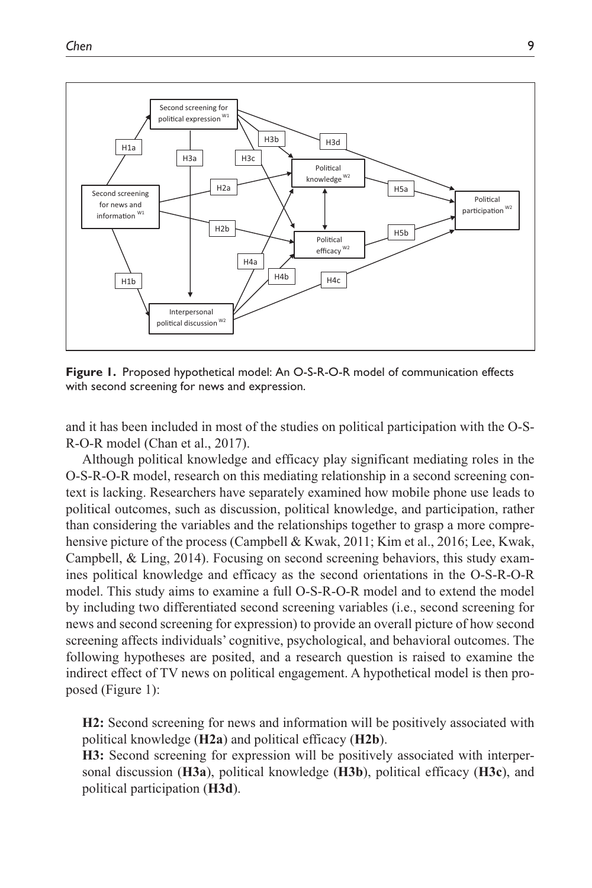

**Figure 1.** Proposed hypothetical model: An O-S-R-O-R model of communication effects with second screening for news and expression.

and it has been included in most of the studies on political participation with the O-S-R-O-R model (Chan et al., 2017).

Although political knowledge and efficacy play significant mediating roles in the O-S-R-O-R model, research on this mediating relationship in a second screening context is lacking. Researchers have separately examined how mobile phone use leads to political outcomes, such as discussion, political knowledge, and participation, rather than considering the variables and the relationships together to grasp a more comprehensive picture of the process (Campbell & Kwak, 2011; Kim et al., 2016; Lee, Kwak, Campbell, & Ling, 2014). Focusing on second screening behaviors, this study examines political knowledge and efficacy as the second orientations in the O-S-R-O-R model. This study aims to examine a full O-S-R-O-R model and to extend the model by including two differentiated second screening variables (i.e., second screening for news and second screening for expression) to provide an overall picture of how second screening affects individuals' cognitive, psychological, and behavioral outcomes. The following hypotheses are posited, and a research question is raised to examine the indirect effect of TV news on political engagement. A hypothetical model is then proposed (Figure 1):

**H2:** Second screening for news and information will be positively associated with political knowledge (**H2a**) and political efficacy (**H2b**).

**H3:** Second screening for expression will be positively associated with interpersonal discussion (**H3a**), political knowledge (**H3b**), political efficacy (**H3c**), and political participation (**H3d**).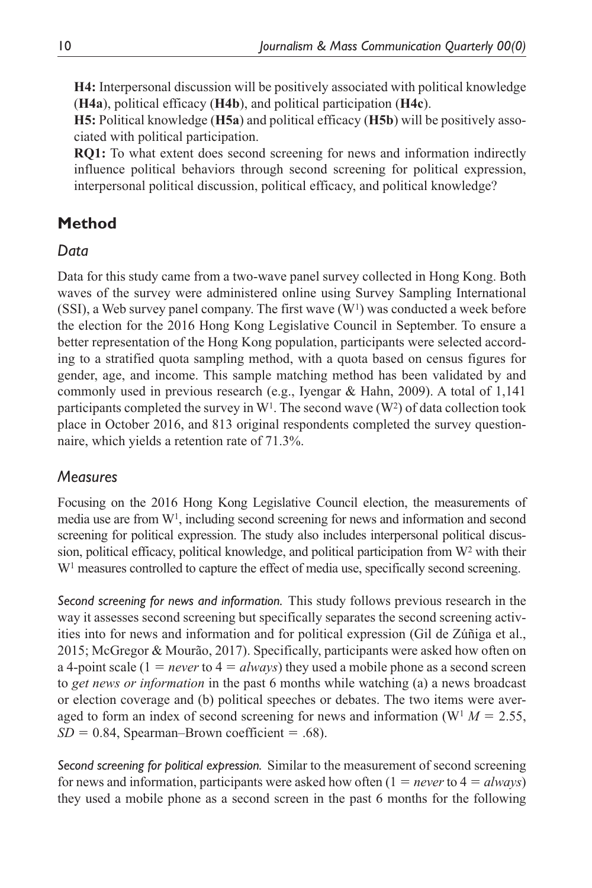**H4:** Interpersonal discussion will be positively associated with political knowledge (**H4a**), political efficacy (**H4b**), and political participation (**H4c**).

**H5:** Political knowledge (**H5a**) and political efficacy (**H5b**) will be positively associated with political participation.

**RQ1:** To what extent does second screening for news and information indirectly influence political behaviors through second screening for political expression, interpersonal political discussion, political efficacy, and political knowledge?

# **Method**

# *Data*

Data for this study came from a two-wave panel survey collected in Hong Kong. Both waves of the survey were administered online using Survey Sampling International (SSI), a Web survey panel company. The first wave  $(W<sup>1</sup>)$  was conducted a week before the election for the 2016 Hong Kong Legislative Council in September. To ensure a better representation of the Hong Kong population, participants were selected according to a stratified quota sampling method, with a quota based on census figures for gender, age, and income. This sample matching method has been validated by and commonly used in previous research (e.g., Iyengar & Hahn, 2009). A total of 1,141 participants completed the survey in  $W<sup>1</sup>$ . The second wave  $(W<sup>2</sup>)$  of data collection took place in October 2016, and 813 original respondents completed the survey questionnaire, which yields a retention rate of 71.3%.

# *Measures*

Focusing on the 2016 Hong Kong Legislative Council election, the measurements of media use are from W1, including second screening for news and information and second screening for political expression. The study also includes interpersonal political discussion, political efficacy, political knowledge, and political participation from W2 with their W<sup>1</sup> measures controlled to capture the effect of media use, specifically second screening.

*Second screening for news and information.* This study follows previous research in the way it assesses second screening but specifically separates the second screening activities into for news and information and for political expression (Gil de Zúñiga et al., 2015; McGregor & Mourão, 2017). Specifically, participants were asked how often on a 4-point scale  $(1 = never to 4 = always)$  they used a mobile phone as a second screen to *get news or information* in the past 6 months while watching (a) a news broadcast or election coverage and (b) political speeches or debates. The two items were averaged to form an index of second screening for news and information ( $W<sup>1</sup> M = 2.55$ ,  $SD = 0.84$ , Spearman–Brown coefficient = .68).

*Second screening for political expression.* Similar to the measurement of second screening for news and information, participants were asked how often (1 = *never* to 4 = *always*) they used a mobile phone as a second screen in the past 6 months for the following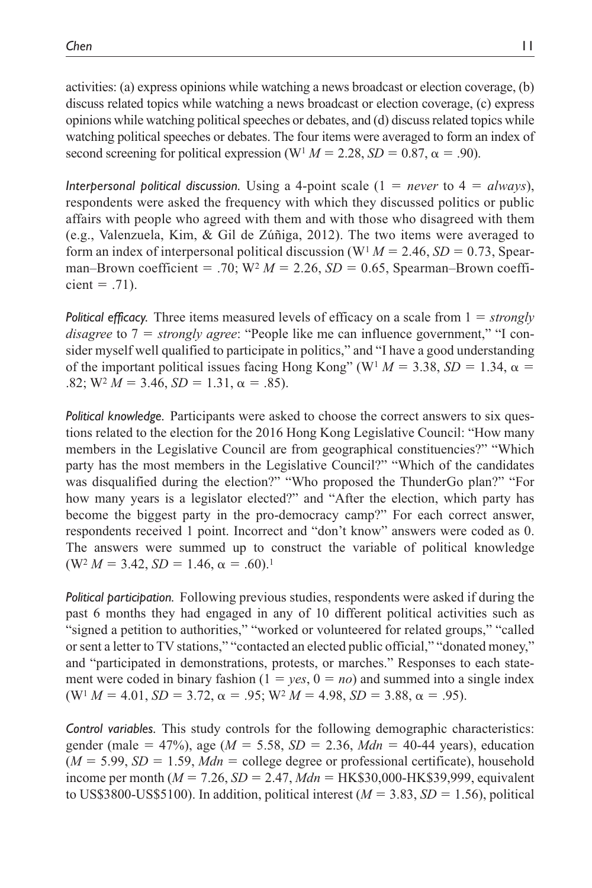activities: (a) express opinions while watching a news broadcast or election coverage, (b) discuss related topics while watching a news broadcast or election coverage, (c) express opinions while watching political speeches or debates, and (d) discuss related topics while watching political speeches or debates. The four items were averaged to form an index of second screening for political expression ( $W<sup>1</sup> M = 2.28$ ,  $SD = 0.87$ ,  $\alpha = .90$ ).

*Interpersonal political discussion.* Using a 4-point scale (1 = *never* to 4 = *always*), respondents were asked the frequency with which they discussed politics or public affairs with people who agreed with them and with those who disagreed with them (e.g., Valenzuela, Kim, & Gil de Zúñiga, 2012). The two items were averaged to form an index of interpersonal political discussion ( $W<sup>1</sup> M = 2.46$ ,  $SD = 0.73$ , Spearman–Brown coefficient = .70;  $W^2 M = 2.26$ ,  $SD = 0.65$ , Spearman–Brown coefficient  $= .71$ ).

*Political efficacy.* Three items measured levels of efficacy on a scale from 1 = *strongly disagree* to 7 = *strongly agree*: "People like me can influence government," "I consider myself well qualified to participate in politics," and "I have a good understanding of the important political issues facing Hong Kong" (W<sup>1</sup>  $M = 3.38$ ,  $SD = 1.34$ ,  $\alpha =$  $.82$ ; W<sup>2</sup>  $M = 3.46$ ,  $SD = 1.31$ ,  $\alpha = .85$ ).

*Political knowledge.* Participants were asked to choose the correct answers to six questions related to the election for the 2016 Hong Kong Legislative Council: "How many members in the Legislative Council are from geographical constituencies?" "Which party has the most members in the Legislative Council?" "Which of the candidates was disqualified during the election?" "Who proposed the ThunderGo plan?" "For how many years is a legislator elected?" and "After the election, which party has become the biggest party in the pro-democracy camp?" For each correct answer, respondents received 1 point. Incorrect and "don't know" answers were coded as 0. The answers were summed up to construct the variable of political knowledge  $(W<sup>2</sup> M = 3.42, SD = 1.46, \alpha = .60).$ <sup>1</sup>

*Political participation.* Following previous studies, respondents were asked if during the past 6 months they had engaged in any of 10 different political activities such as "signed a petition to authorities," "worked or volunteered for related groups," "called or sent a letter to TV stations," "contacted an elected public official," "donated money," and "participated in demonstrations, protests, or marches." Responses to each statement were coded in binary fashion  $(1 = yes, 0 = no)$  and summed into a single index (W<sup>1</sup>  $M = 4.01$ ,  $SD = 3.72$ ,  $\alpha = .95$ ; W<sup>2</sup>  $M = 4.98$ ,  $SD = 3.88$ ,  $\alpha = .95$ ).

*Control variables.* This study controls for the following demographic characteristics: gender (male = 47%), age (*M* = 5.58, *SD* = 2.36, *Mdn* = 40-44 years), education  $(M = 5.99, SD = 1.59, Mdn =$  college degree or professional certificate), household income per month (*M* = 7.26, *SD* = 2.47, *Mdn* = HK\$30,000-HK\$39,999, equivalent to US\$3800-US\$5100). In addition, political interest  $(M = 3.83, SD = 1.56)$ , political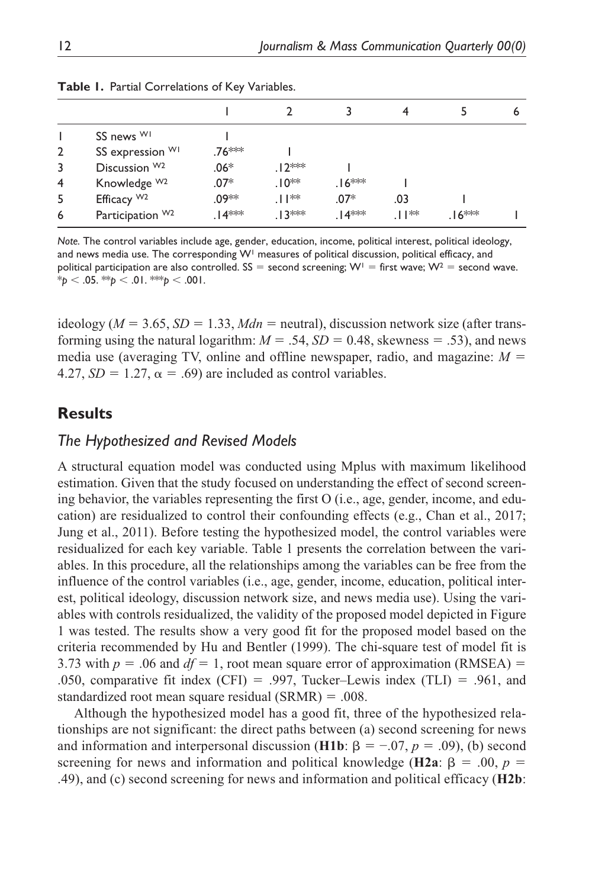|                |                              |                    |         |                   |      |         | O |
|----------------|------------------------------|--------------------|---------|-------------------|------|---------|---|
|                | SS news WI                   |                    |         |                   |      |         |   |
| $\overline{2}$ | SS expression WI             | .76 <sup>***</sup> |         |                   |      |         |   |
| 3              | Discussion W <sub>2</sub>    | $.06*$             | .12 *** |                   |      |         |   |
| 4              | Knowledge W <sub>2</sub>     | $.07*$             | $.10**$ | .16 <sup>≭≉</sup> |      |         |   |
| 5              | Efficacy W <sub>2</sub>      | .09**              | ⊥। ∗∗   | $.07*$            | .03  |         |   |
| 6              | Participation W <sub>2</sub> | .∣4***             | ∣ ?**   | .∣4***            | ∏ ** | .16 $*$ |   |

|  |  | Table I. Partial Correlations of Key Variables. |  |  |
|--|--|-------------------------------------------------|--|--|
|--|--|-------------------------------------------------|--|--|

*Note.* The control variables include age, gender, education, income, political interest, political ideology, and news media use. The corresponding  $W<sup>1</sup>$  measures of political discussion, political efficacy, and political participation are also controlled. SS = second screening;  $W^{\dagger}$  = first wave;  $W^2$  = second wave.  $*_{p}$  < .05.  $*_{p}$  < .01.  $*_{p}$  < .001.

ideology ( $M = 3.65$ ,  $SD = 1.33$ ,  $Mdn$  = neutral), discussion network size (after transforming using the natural logarithm:  $M = .54$ ,  $SD = 0.48$ , skewness = .53), and news media use (averaging TV, online and offline newspaper, radio, and magazine:  $M =$ 4.27,  $SD = 1.27$ ,  $\alpha = .69$ ) are included as control variables.

### **Results**

#### *The Hypothesized and Revised Models*

A structural equation model was conducted using Mplus with maximum likelihood estimation. Given that the study focused on understanding the effect of second screening behavior, the variables representing the first O (i.e., age, gender, income, and education) are residualized to control their confounding effects (e.g., Chan et al., 2017; Jung et al., 2011). Before testing the hypothesized model, the control variables were residualized for each key variable. Table 1 presents the correlation between the variables. In this procedure, all the relationships among the variables can be free from the influence of the control variables (i.e., age, gender, income, education, political interest, political ideology, discussion network size, and news media use). Using the variables with controls residualized, the validity of the proposed model depicted in Figure 1 was tested. The results show a very good fit for the proposed model based on the criteria recommended by Hu and Bentler (1999). The chi-square test of model fit is 3.73 with  $p = 0.06$  and  $df = 1$ , root mean square error of approximation (RMSEA) = .050, comparative fit index (CFI) = .997, Tucker–Lewis index (TLI) = .961, and standardized root mean square residual (SRMR) = .008.

Although the hypothesized model has a good fit, three of the hypothesized relationships are not significant: the direct paths between (a) second screening for news and information and interpersonal discussion (**H1b**:  $\beta = -.07$ ,  $p = .09$ ), (b) second screening for news and information and political knowledge (**H2a**:  $\beta = .00, p =$ .49), and (c) second screening for news and information and political efficacy (**H2b**: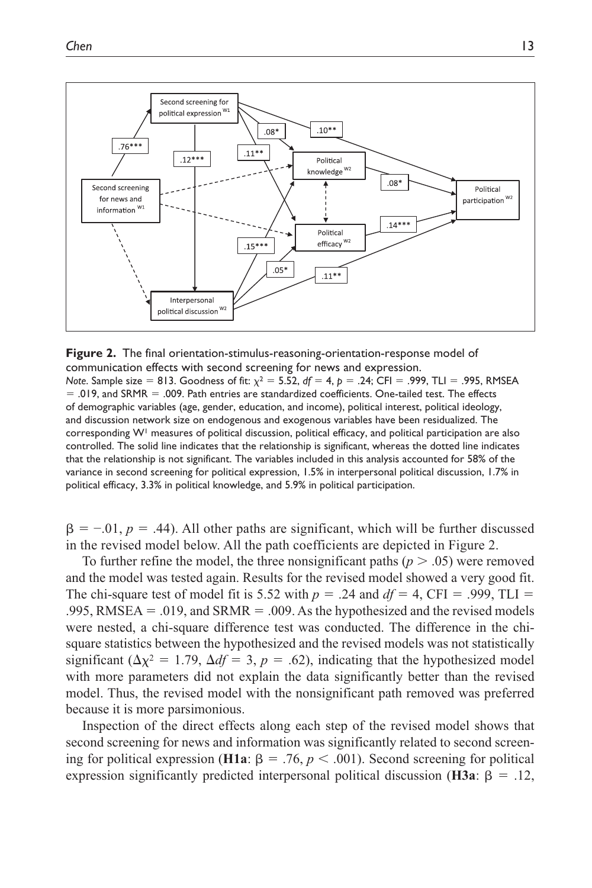

**Figure 2.** The final orientation-stimulus-reasoning-orientation-response model of communication effects with second screening for news and expression. *Note*. Sample size = 813. Goodness of fit:  $χ² = 5.52$ ,  $df = 4$ ,  $p = .24$ ; CFI = .999, TLI = .995, RMSEA = .019, and SRMR = .009. Path entries are standardized coefficients. One-tailed test. The effects of demographic variables (age, gender, education, and income), political interest, political ideology, and discussion network size on endogenous and exogenous variables have been residualized. The corresponding W<sup>1</sup> measures of political discussion, political efficacy, and political participation are also controlled. The solid line indicates that the relationship is significant, whereas the dotted line indicates that the relationship is not significant. The variables included in this analysis accounted for 58% of the variance in second screening for political expression, 1.5% in interpersonal political discussion, 1.7% in political efficacy, 3.3% in political knowledge, and 5.9% in political participation.

 $\beta = -.01$ ,  $p = .44$ ). All other paths are significant, which will be further discussed in the revised model below. All the path coefficients are depicted in Figure 2.

To further refine the model, the three nonsignificant paths  $(p > .05)$  were removed and the model was tested again. Results for the revised model showed a very good fit. The chi-square test of model fit is 5.52 with  $p = .24$  and  $df = 4$ , CFI = .999, TLI = .995, RMSEA = .019, and SRMR = .009. As the hypothesized and the revised models were nested, a chi-square difference test was conducted. The difference in the chisquare statistics between the hypothesized and the revised models was not statistically significant ( $\Delta \chi^2 = 1.79$ ,  $\Delta df = 3$ ,  $p = .62$ ), indicating that the hypothesized model with more parameters did not explain the data significantly better than the revised model. Thus, the revised model with the nonsignificant path removed was preferred because it is more parsimonious.

Inspection of the direct effects along each step of the revised model shows that second screening for news and information was significantly related to second screening for political expression (**H1a**: β = .76,  $p < .001$ ). Second screening for political expression significantly predicted interpersonal political discussion (**H3a**: β = .12,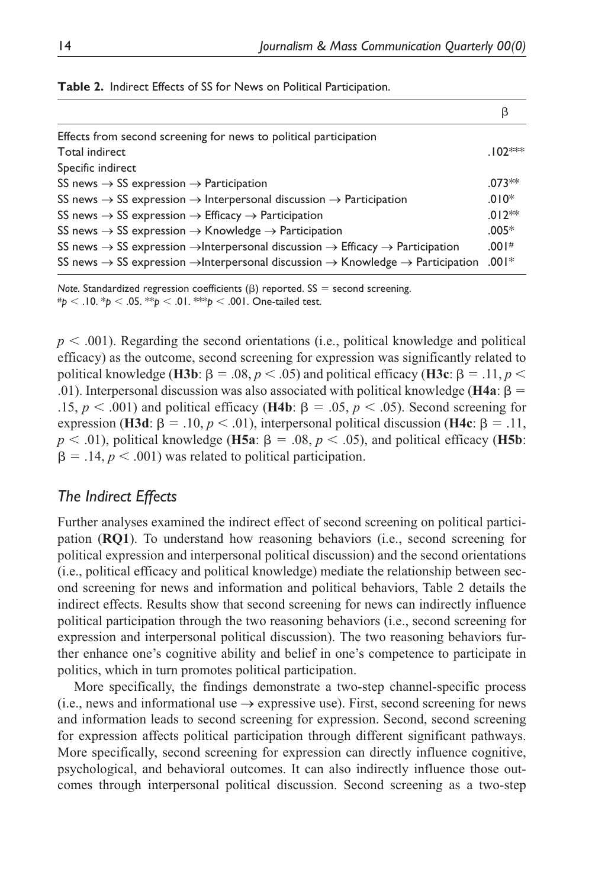| Effects from second screening for news to political participation                                                              |           |
|--------------------------------------------------------------------------------------------------------------------------------|-----------|
| Total indirect                                                                                                                 | $.102***$ |
| Specific indirect                                                                                                              |           |
| SS news $\rightarrow$ SS expression $\rightarrow$ Participation                                                                | $.073**$  |
| SS news $\rightarrow$ SS expression $\rightarrow$ Interpersonal discussion $\rightarrow$ Participation                         | $.010*$   |
| SS news $\rightarrow$ SS expression $\rightarrow$ Efficacy $\rightarrow$ Participation                                         | $.012**$  |
| SS news $\rightarrow$ SS expression $\rightarrow$ Knowledge $\rightarrow$ Participation                                        | $.005*$   |
| SS news $\rightarrow$ SS expression $\rightarrow$ Interpersonal discussion $\rightarrow$ Efficacy $\rightarrow$ Participation  | .001#     |
| SS news $\rightarrow$ SS expression $\rightarrow$ Interpersonal discussion $\rightarrow$ Knowledge $\rightarrow$ Participation | $.001*$   |

**Table 2.** Indirect Effects of SS for News on Political Participation.

*Note.* Standardized regression coefficients  $(\beta)$  reported. SS = second screening. #*p* < .10. \**p* < .05. \*\**p* < .01. \*\*\**p* < .001. One-tailed test.

 $p < .001$ ). Regarding the second orientations (i.e., political knowledge and political efficacy) as the outcome, second screening for expression was significantly related to political knowledge (**H3b**: β = .08, *p* < .05) and political efficacy (**H3c**: β = .11, *p* < .01). Interpersonal discussion was also associated with political knowledge (**H4a**: β = .15, *p* < .001) and political efficacy (**H4b**: β = .05, *p* < .05). Second screening for expression (**H3d**: β = .10, *p* < .01), interpersonal political discussion (**H4c**: β = .11,  $p < .01$ ), political knowledge (**H5a**:  $\beta = .08$ ,  $p < .05$ ), and political efficacy (**H5b**:  $\beta = .14$ ,  $p < .001$ ) was related to political participation.

### *The Indirect Effects*

Further analyses examined the indirect effect of second screening on political participation (**RQ1**). To understand how reasoning behaviors (i.e., second screening for political expression and interpersonal political discussion) and the second orientations (i.e., political efficacy and political knowledge) mediate the relationship between second screening for news and information and political behaviors, Table 2 details the indirect effects. Results show that second screening for news can indirectly influence political participation through the two reasoning behaviors (i.e., second screening for expression and interpersonal political discussion). The two reasoning behaviors further enhance one's cognitive ability and belief in one's competence to participate in politics, which in turn promotes political participation.

More specifically, the findings demonstrate a two-step channel-specific process (i.e., news and informational use  $\rightarrow$  expressive use). First, second screening for news and information leads to second screening for expression. Second, second screening for expression affects political participation through different significant pathways. More specifically, second screening for expression can directly influence cognitive, psychological, and behavioral outcomes. It can also indirectly influence those outcomes through interpersonal political discussion. Second screening as a two-step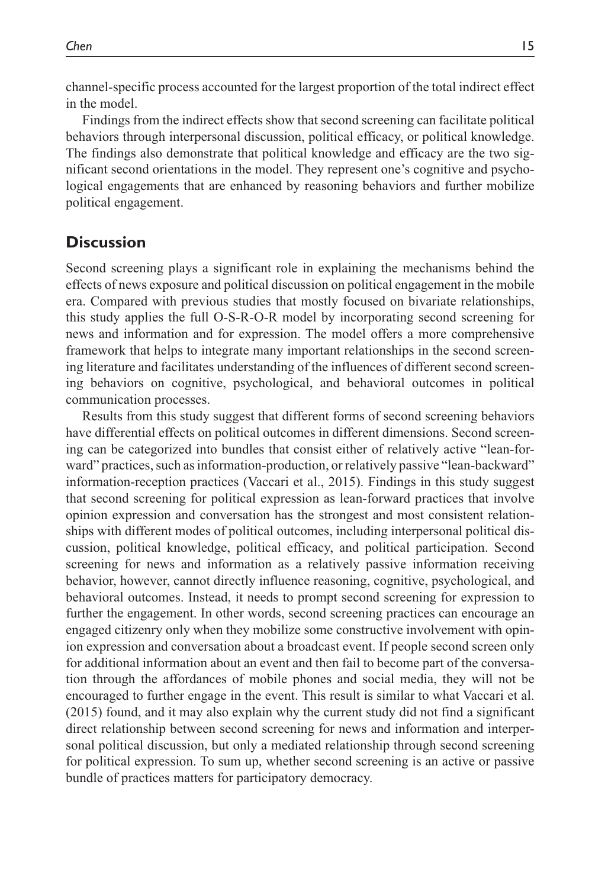channel-specific process accounted for the largest proportion of the total indirect effect in the model.

Findings from the indirect effects show that second screening can facilitate political behaviors through interpersonal discussion, political efficacy, or political knowledge. The findings also demonstrate that political knowledge and efficacy are the two significant second orientations in the model. They represent one's cognitive and psychological engagements that are enhanced by reasoning behaviors and further mobilize political engagement.

# **Discussion**

Second screening plays a significant role in explaining the mechanisms behind the effects of news exposure and political discussion on political engagement in the mobile era. Compared with previous studies that mostly focused on bivariate relationships, this study applies the full O-S-R-O-R model by incorporating second screening for news and information and for expression. The model offers a more comprehensive framework that helps to integrate many important relationships in the second screening literature and facilitates understanding of the influences of different second screening behaviors on cognitive, psychological, and behavioral outcomes in political communication processes.

Results from this study suggest that different forms of second screening behaviors have differential effects on political outcomes in different dimensions. Second screening can be categorized into bundles that consist either of relatively active "lean-forward" practices, such as information-production, or relatively passive "lean-backward" information-reception practices (Vaccari et al., 2015). Findings in this study suggest that second screening for political expression as lean-forward practices that involve opinion expression and conversation has the strongest and most consistent relationships with different modes of political outcomes, including interpersonal political discussion, political knowledge, political efficacy, and political participation. Second screening for news and information as a relatively passive information receiving behavior, however, cannot directly influence reasoning, cognitive, psychological, and behavioral outcomes. Instead, it needs to prompt second screening for expression to further the engagement. In other words, second screening practices can encourage an engaged citizenry only when they mobilize some constructive involvement with opinion expression and conversation about a broadcast event. If people second screen only for additional information about an event and then fail to become part of the conversation through the affordances of mobile phones and social media, they will not be encouraged to further engage in the event. This result is similar to what Vaccari et al. (2015) found, and it may also explain why the current study did not find a significant direct relationship between second screening for news and information and interpersonal political discussion, but only a mediated relationship through second screening for political expression. To sum up, whether second screening is an active or passive bundle of practices matters for participatory democracy.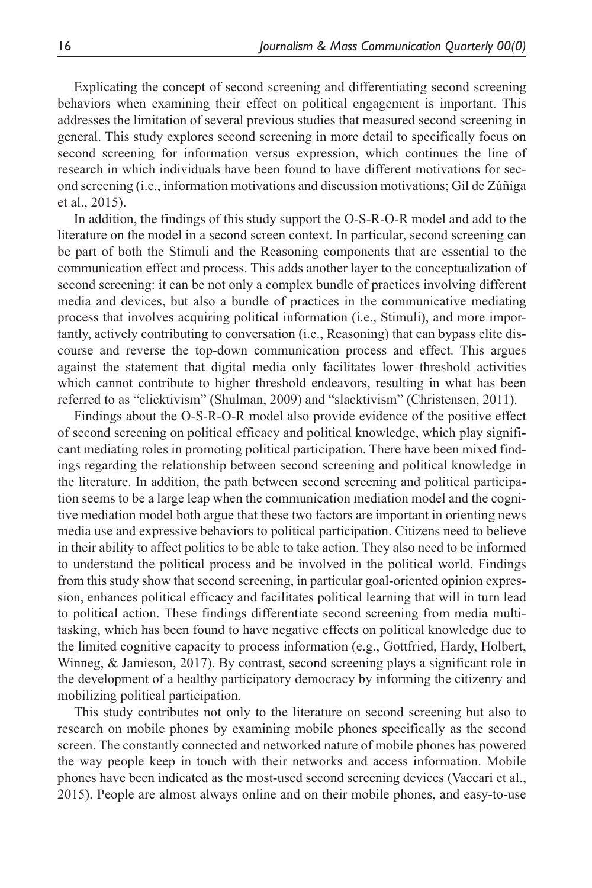Explicating the concept of second screening and differentiating second screening behaviors when examining their effect on political engagement is important. This addresses the limitation of several previous studies that measured second screening in general. This study explores second screening in more detail to specifically focus on second screening for information versus expression, which continues the line of research in which individuals have been found to have different motivations for second screening (i.e., information motivations and discussion motivations; Gil de Zúñiga et al., 2015).

In addition, the findings of this study support the O-S-R-O-R model and add to the literature on the model in a second screen context. In particular, second screening can be part of both the Stimuli and the Reasoning components that are essential to the communication effect and process. This adds another layer to the conceptualization of second screening: it can be not only a complex bundle of practices involving different media and devices, but also a bundle of practices in the communicative mediating process that involves acquiring political information (i.e., Stimuli), and more importantly, actively contributing to conversation (i.e., Reasoning) that can bypass elite discourse and reverse the top-down communication process and effect. This argues against the statement that digital media only facilitates lower threshold activities which cannot contribute to higher threshold endeavors, resulting in what has been referred to as "clicktivism" (Shulman, 2009) and "slacktivism" (Christensen, 2011).

Findings about the O-S-R-O-R model also provide evidence of the positive effect of second screening on political efficacy and political knowledge, which play significant mediating roles in promoting political participation. There have been mixed findings regarding the relationship between second screening and political knowledge in the literature. In addition, the path between second screening and political participation seems to be a large leap when the communication mediation model and the cognitive mediation model both argue that these two factors are important in orienting news media use and expressive behaviors to political participation. Citizens need to believe in their ability to affect politics to be able to take action. They also need to be informed to understand the political process and be involved in the political world. Findings from this study show that second screening, in particular goal-oriented opinion expression, enhances political efficacy and facilitates political learning that will in turn lead to political action. These findings differentiate second screening from media multitasking, which has been found to have negative effects on political knowledge due to the limited cognitive capacity to process information (e.g., Gottfried, Hardy, Holbert, Winneg, & Jamieson, 2017). By contrast, second screening plays a significant role in the development of a healthy participatory democracy by informing the citizenry and mobilizing political participation.

This study contributes not only to the literature on second screening but also to research on mobile phones by examining mobile phones specifically as the second screen. The constantly connected and networked nature of mobile phones has powered the way people keep in touch with their networks and access information. Mobile phones have been indicated as the most-used second screening devices (Vaccari et al., 2015). People are almost always online and on their mobile phones, and easy-to-use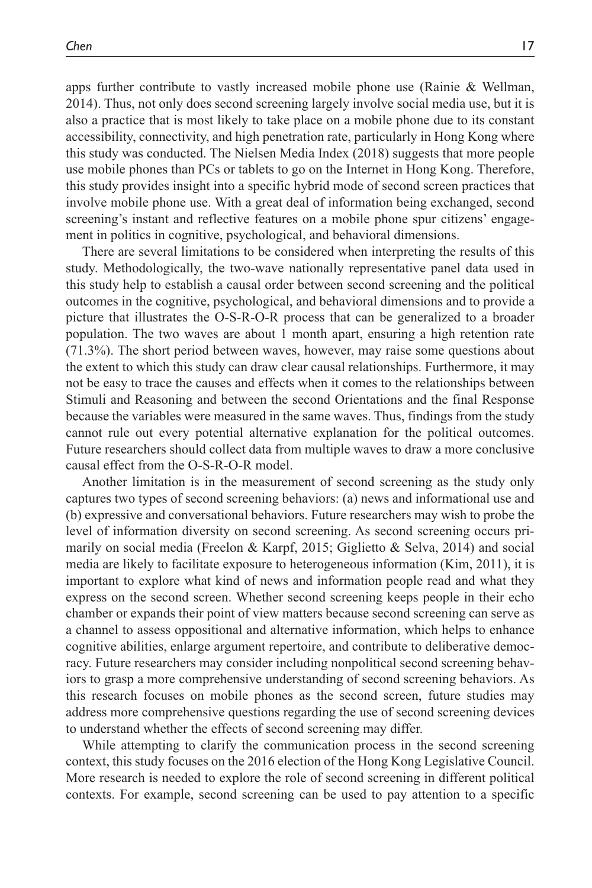apps further contribute to vastly increased mobile phone use (Rainie & Wellman, 2014). Thus, not only does second screening largely involve social media use, but it is also a practice that is most likely to take place on a mobile phone due to its constant accessibility, connectivity, and high penetration rate, particularly in Hong Kong where this study was conducted. The Nielsen Media Index (2018) suggests that more people use mobile phones than PCs or tablets to go on the Internet in Hong Kong. Therefore, this study provides insight into a specific hybrid mode of second screen practices that involve mobile phone use. With a great deal of information being exchanged, second screening's instant and reflective features on a mobile phone spur citizens' engagement in politics in cognitive, psychological, and behavioral dimensions.

There are several limitations to be considered when interpreting the results of this study. Methodologically, the two-wave nationally representative panel data used in this study help to establish a causal order between second screening and the political outcomes in the cognitive, psychological, and behavioral dimensions and to provide a picture that illustrates the O-S-R-O-R process that can be generalized to a broader population. The two waves are about 1 month apart, ensuring a high retention rate (71.3%). The short period between waves, however, may raise some questions about the extent to which this study can draw clear causal relationships. Furthermore, it may not be easy to trace the causes and effects when it comes to the relationships between Stimuli and Reasoning and between the second Orientations and the final Response because the variables were measured in the same waves. Thus, findings from the study cannot rule out every potential alternative explanation for the political outcomes. Future researchers should collect data from multiple waves to draw a more conclusive causal effect from the O-S-R-O-R model.

Another limitation is in the measurement of second screening as the study only captures two types of second screening behaviors: (a) news and informational use and (b) expressive and conversational behaviors. Future researchers may wish to probe the level of information diversity on second screening. As second screening occurs primarily on social media (Freelon & Karpf, 2015; Giglietto & Selva, 2014) and social media are likely to facilitate exposure to heterogeneous information (Kim, 2011), it is important to explore what kind of news and information people read and what they express on the second screen. Whether second screening keeps people in their echo chamber or expands their point of view matters because second screening can serve as a channel to assess oppositional and alternative information, which helps to enhance cognitive abilities, enlarge argument repertoire, and contribute to deliberative democracy. Future researchers may consider including nonpolitical second screening behaviors to grasp a more comprehensive understanding of second screening behaviors. As this research focuses on mobile phones as the second screen, future studies may address more comprehensive questions regarding the use of second screening devices to understand whether the effects of second screening may differ.

While attempting to clarify the communication process in the second screening context, this study focuses on the 2016 election of the Hong Kong Legislative Council. More research is needed to explore the role of second screening in different political contexts. For example, second screening can be used to pay attention to a specific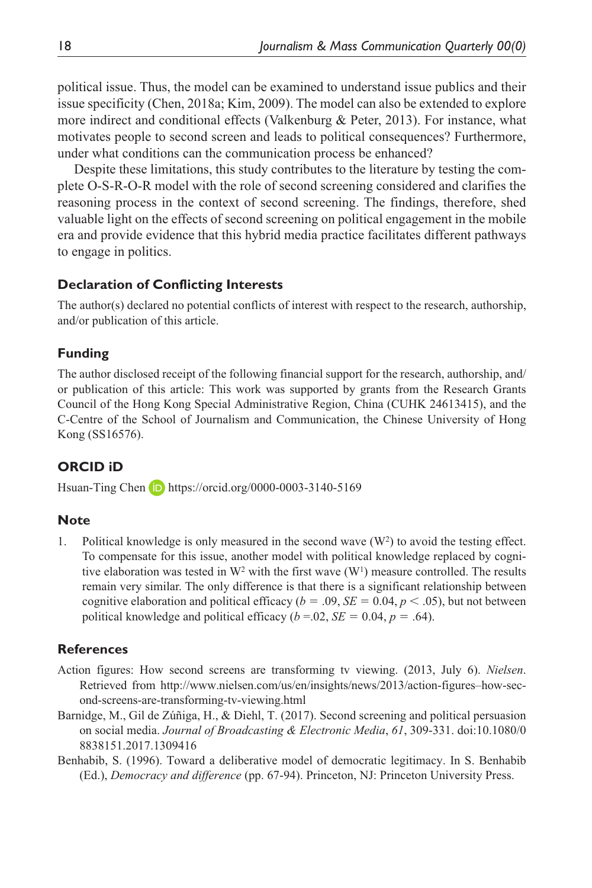political issue. Thus, the model can be examined to understand issue publics and their issue specificity (Chen, 2018a; Kim, 2009). The model can also be extended to explore more indirect and conditional effects (Valkenburg & Peter, 2013). For instance, what motivates people to second screen and leads to political consequences? Furthermore, under what conditions can the communication process be enhanced?

Despite these limitations, this study contributes to the literature by testing the complete O-S-R-O-R model with the role of second screening considered and clarifies the reasoning process in the context of second screening. The findings, therefore, shed valuable light on the effects of second screening on political engagement in the mobile era and provide evidence that this hybrid media practice facilitates different pathways to engage in politics.

#### **Declaration of Conflicting Interests**

The author(s) declared no potential conflicts of interest with respect to the research, authorship, and/or publication of this article.

### **Funding**

The author disclosed receipt of the following financial support for the research, authorship, and/ or publication of this article: This work was supported by grants from the Research Grants Council of the Hong Kong Special Administrative Region, China (CUHK 24613415), and the C-Centre of the School of Journalism and Communication, the Chinese University of Hong Kong (SS16576).

### **ORCID iD**

Hsuan-Ting Chen **D** <https://orcid.org/0000-0003-3140-5169>

#### **Note**

1. Political knowledge is only measured in the second wave  $(W^2)$  to avoid the testing effect. To compensate for this issue, another model with political knowledge replaced by cognitive elaboration was tested in  $W^2$  with the first wave  $(W^1)$  measure controlled. The results remain very similar. The only difference is that there is a significant relationship between cognitive elaboration and political efficacy ( $b = .09$ ,  $SE = 0.04$ ,  $p < .05$ ), but not between political knowledge and political efficacy ( $b = .02$ ,  $SE = 0.04$ ,  $p = .64$ ).

### **References**

- Action figures: How second screens are transforming tv viewing. (2013, July 6). *Nielsen*. Retrieved from [http://www.nielsen.com/us/en/insights/news/2013/action-figures–how-sec](http://www.nielsen.com/us/en/insights/news/2013/action-figures�how-second-screens-are-transforming-tv-viewing.html)[ond-screens-are-transforming-tv-viewing.html](http://www.nielsen.com/us/en/insights/news/2013/action-figures�how-second-screens-are-transforming-tv-viewing.html)
- Barnidge, M., Gil de Zúñiga, H., & Diehl, T. (2017). Second screening and political persuasion on social media. *Journal of Broadcasting & Electronic Media*, *61*, 309-331. doi:10.1080/0 8838151.2017.1309416
- Benhabib, S. (1996). Toward a deliberative model of democratic legitimacy. In S. Benhabib (Ed.), *Democracy and difference* (pp. 67-94). Princeton, NJ: Princeton University Press.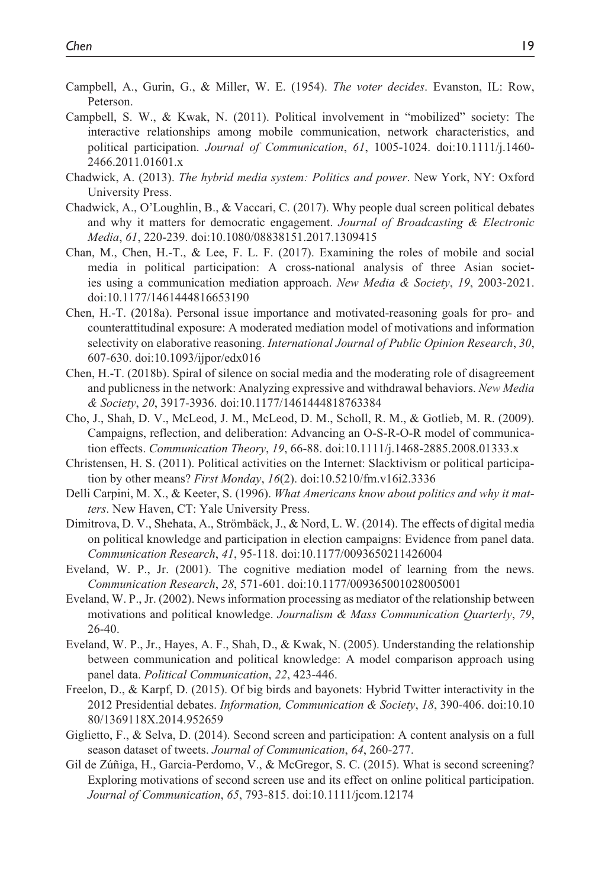- Campbell, A., Gurin, G., & Miller, W. E. (1954). *The voter decides*. Evanston, IL: Row, Peterson.
- Campbell, S. W., & Kwak, N. (2011). Political involvement in "mobilized" society: The interactive relationships among mobile communication, network characteristics, and political participation. *Journal of Communication*, *61*, 1005-1024. doi:10.1111/j.1460- 2466.2011.01601.x
- Chadwick, A. (2013). *The hybrid media system: Politics and power*. New York, NY: Oxford University Press.
- Chadwick, A., O'Loughlin, B., & Vaccari, C. (2017). Why people dual screen political debates and why it matters for democratic engagement. *Journal of Broadcasting & Electronic Media*, *61*, 220-239. doi:10.1080/08838151.2017.1309415
- Chan, M., Chen, H.-T., & Lee, F. L. F. (2017). Examining the roles of mobile and social media in political participation: A cross-national analysis of three Asian societies using a communication mediation approach. *New Media & Society*, *19*, 2003-2021. doi:10.1177/1461444816653190
- Chen, H.-T. (2018a). Personal issue importance and motivated-reasoning goals for pro- and counterattitudinal exposure: A moderated mediation model of motivations and information selectivity on elaborative reasoning. *International Journal of Public Opinion Research*, *30*, 607-630. doi:10.1093/ijpor/edx016
- Chen, H.-T. (2018b). Spiral of silence on social media and the moderating role of disagreement and publicness in the network: Analyzing expressive and withdrawal behaviors. *New Media & Society*, *20*, 3917-3936. doi:10.1177/1461444818763384
- Cho, J., Shah, D. V., McLeod, J. M., McLeod, D. M., Scholl, R. M., & Gotlieb, M. R. (2009). Campaigns, reflection, and deliberation: Advancing an O-S-R-O-R model of communication effects. *Communication Theory*, *19*, 66-88. doi:10.1111/j.1468-2885.2008.01333.x
- Christensen, H. S. (2011). Political activities on the Internet: Slacktivism or political participation by other means? *First Monday*, *16*(2). doi:10.5210/fm.v16i2.3336
- Delli Carpini, M. X., & Keeter, S. (1996). *What Americans know about politics and why it matters*. New Haven, CT: Yale University Press.
- Dimitrova, D. V., Shehata, A., Strömbäck, J., & Nord, L. W. (2014). The effects of digital media on political knowledge and participation in election campaigns: Evidence from panel data. *Communication Research*, *41*, 95-118. doi:10.1177/0093650211426004
- Eveland, W. P., Jr. (2001). The cognitive mediation model of learning from the news. *Communication Research*, *28*, 571-601. doi:10.1177/009365001028005001
- Eveland, W. P., Jr. (2002). News information processing as mediator of the relationship between motivations and political knowledge. *Journalism & Mass Communication Quarterly*, *79*, 26-40.
- Eveland, W. P., Jr., Hayes, A. F., Shah, D., & Kwak, N. (2005). Understanding the relationship between communication and political knowledge: A model comparison approach using panel data. *Political Communication*, *22*, 423-446.
- Freelon, D., & Karpf, D. (2015). Of big birds and bayonets: Hybrid Twitter interactivity in the 2012 Presidential debates. *Information, Communication & Society*, *18*, 390-406. doi:10.10 80/1369118X.2014.952659
- Giglietto, F., & Selva, D. (2014). Second screen and participation: A content analysis on a full season dataset of tweets. *Journal of Communication*, *64*, 260-277.
- Gil de Zúñiga, H., Garcia-Perdomo, V., & McGregor, S. C. (2015). What is second screening? Exploring motivations of second screen use and its effect on online political participation. *Journal of Communication*, *65*, 793-815. doi:10.1111/jcom.12174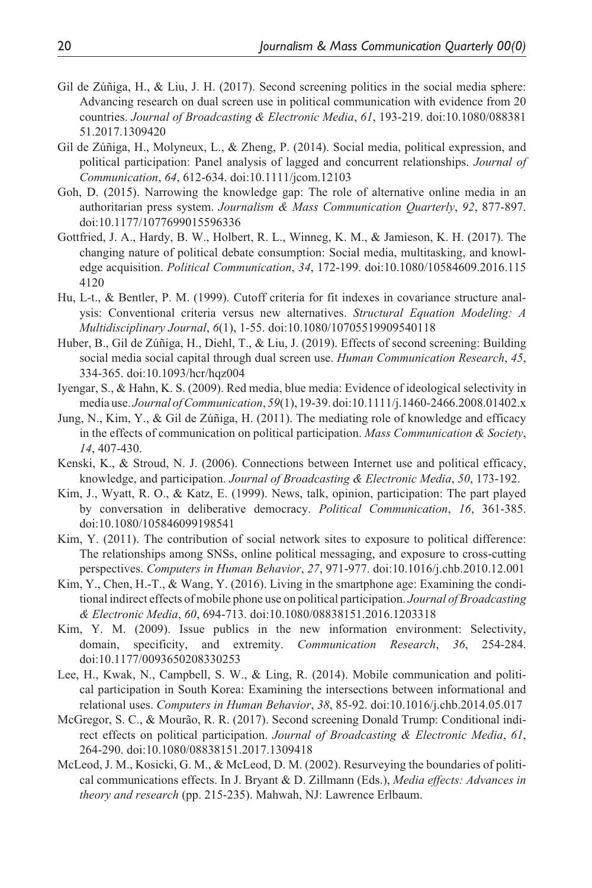- Gil de Zúñiga, H., & Liu, J. H. (2017). Second screening politics in the social media sphere: Advancing research on dual screen use in political communication with evidence from 20 countries. *Journal of Broadcasting & Electronic Media*, *61*, 193-219. doi:10.1080/088381 51.2017.1309420
- Gil de Zúñiga, H., Molyneux, L., & Zheng, P. (2014). Social media, political expression, and political participation: Panel analysis of lagged and concurrent relationships. *Journal of Communication*, *64*, 612-634. doi:10.1111/jcom.12103
- Goh, D. (2015). Narrowing the knowledge gap: The role of alternative online media in an authoritarian press system. *Journalism & Mass Communication Quarterly*, *92*, 877-897. doi:10.1177/1077699015596336
- Gottfried, J. A., Hardy, B. W., Holbert, R. L., Winneg, K. M., & Jamieson, K. H. (2017). The changing nature of political debate consumption: Social media, multitasking, and knowledge acquisition. *Political Communication*, *34*, 172-199. doi:10.1080/10584609.2016.115 4120
- Hu, L-t., & Bentler, P. M. (1999). Cutoff criteria for fit indexes in covariance structure analysis: Conventional criteria versus new alternatives. *Structural Equation Modeling: A Multidisciplinary Journal*, *6*(1), 1-55. doi:10.1080/10705519909540118
- Huber, B., Gil de Zúñiga, H., Diehl, T., & Liu, J. (2019). Effects of second screening: Building social media social capital through dual screen use. *Human Communication Research*, *45*, 334-365. doi:10.1093/hcr/hqz004
- Iyengar, S., & Hahn, K. S. (2009). Red media, blue media: Evidence of ideological selectivity in media use. *Journal of Communication*, *59*(1), 19-39. doi:10.1111/j.1460-2466.2008.01402.x
- Jung, N., Kim, Y., & Gil de Zúñiga, H. (2011). The mediating role of knowledge and efficacy in the effects of communication on political participation. *Mass Communication & Society*, *14*, 407-430.
- Kenski, K., & Stroud, N. J. (2006). Connections between Internet use and political efficacy, knowledge, and participation. *Journal of Broadcasting & Electronic Media*, *50*, 173-192.
- Kim, J., Wyatt, R. O., & Katz, E. (1999). News, talk, opinion, participation: The part played by conversation in deliberative democracy. *Political Communication*, *16*, 361-385. doi:10.1080/105846099198541
- Kim, Y. (2011). The contribution of social network sites to exposure to political difference: The relationships among SNSs, online political messaging, and exposure to cross-cutting perspectives. *Computers in Human Behavior*, *27*, 971-977. doi:10.1016/j.chb.2010.12.001
- Kim, Y., Chen, H.-T., & Wang, Y. (2016). Living in the smartphone age: Examining the conditional indirect effects of mobile phone use on political participation. *Journal of Broadcasting & Electronic Media*, *60*, 694-713. doi:10.1080/08838151.2016.1203318
- Kim, Y. M. (2009). Issue publics in the new information environment: Selectivity, domain, specificity, and extremity. *Communication Research*, *36*, 254-284. doi:10.1177/0093650208330253
- Lee, H., Kwak, N., Campbell, S. W., & Ling, R. (2014). Mobile communication and political participation in South Korea: Examining the intersections between informational and relational uses. *Computers in Human Behavior*, *38*, 85-92. doi:10.1016/j.chb.2014.05.017
- McGregor, S. C., & Mourão, R. R. (2017). Second screening Donald Trump: Conditional indirect effects on political participation. *Journal of Broadcasting & Electronic Media*, *61*, 264-290. doi:10.1080/08838151.2017.1309418
- McLeod, J. M., Kosicki, G. M., & McLeod, D. M. (2002). Resurveying the boundaries of political communications effects. In J. Bryant & D. Zillmann (Eds.), *Media effects: Advances in theory and research* (pp. 215-235). Mahwah, NJ: Lawrence Erlbaum.